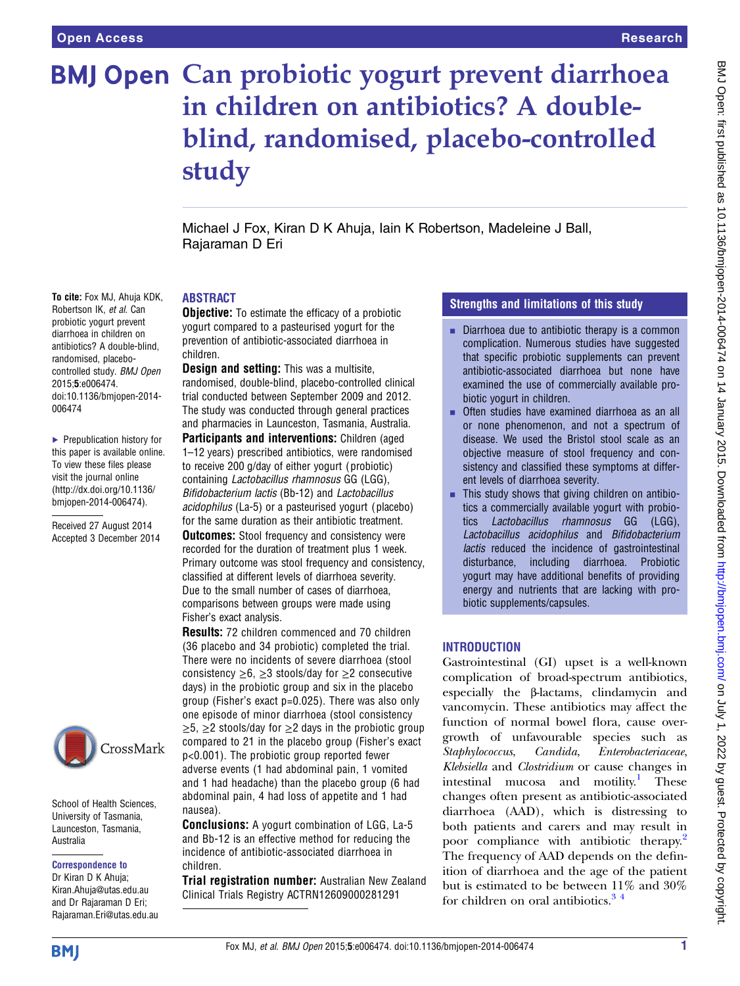To cite: Fox MJ, Ahuja KDK, Robertson IK, et al. Can probiotic yogurt prevent diarrhoea in children on antibiotics? A double-blind, randomised, placebocontrolled study. BMJ Open

doi:10.1136/bmjopen-2014-

▶ Prepublication history for this paper is available online. To view these files please visit the journal online [\(http://dx.doi.org/10.1136/](http://dx.doi.org/10.1136/bmjopen-2014-006474) [bmjopen-2014-006474](http://dx.doi.org/10.1136/bmjopen-2014-006474)). Received 27 August 2014 Accepted 3 December 2014

2015;5:e006474.

006474

# **BMJ Open Can probiotic yogurt prevent diarrhoea** in children on antibiotics? A doubleblind, randomised, placebo-controlled study

Michael J Fox, Kiran D K Ahuja, Iain K Robertson, Madeleine J Ball, Rajaraman D Eri

#### ABSTRACT

**Objective:** To estimate the efficacy of a probiotic yogurt compared to a pasteurised yogurt for the prevention of antibiotic-associated diarrhoea in children.

Design and setting: This was a multisite, randomised, double-blind, placebo-controlled clinical trial conducted between September 2009 and 2012. The study was conducted through general practices and pharmacies in Launceston, Tasmania, Australia.

Participants and interventions: Children (aged 1–12 years) prescribed antibiotics, were randomised to receive 200 g/day of either yogurt ( probiotic) containing Lactobacillus rhamnosus GG (LGG), Bifidobacterium lactis (Bb-12) and Lactobacillus acidophilus (La-5) or a pasteurised yogurt ( placebo) for the same duration as their antibiotic treatment. **Outcomes:** Stool frequency and consistency were recorded for the duration of treatment plus 1 week. Primary outcome was stool frequency and consistency, classified at different levels of diarrhoea severity. Due to the small number of cases of diarrhoea, comparisons between groups were made using Fisher's exact analysis.

Results: 72 children commenced and 70 children (36 placebo and 34 probiotic) completed the trial. There were no incidents of severe diarrhoea (stool consistency  $>6$ ,  $>3$  stools/day for  $>2$  consecutive days) in the probiotic group and six in the placebo group (Fisher's exact p=0.025). There was also only one episode of minor diarrhoea (stool consistency  $\geq$ 5,  $\geq$ 2 stools/day for  $\geq$ 2 days in the probiotic group compared to 21 in the placebo group (Fisher's exact p<0.001). The probiotic group reported fewer adverse events (1 had abdominal pain, 1 vomited and 1 had headache) than the placebo group (6 had abdominal pain, 4 had loss of appetite and 1 had nausea).

**Conclusions:** A yogurt combination of LGG, La-5 and Bb-12 is an effective method for reducing the incidence of antibiotic-associated diarrhoea in children.

**Trial registration number:** Australian New Zealand Clinical Trials Registry ACTRN12609000281291

#### Strengths and limitations of this study

- $\blacksquare$  Diarrhoea due to antibiotic therapy is a common complication. Numerous studies have suggested that specific probiotic supplements can prevent antibiotic-associated diarrhoea but none have examined the use of commercially available probiotic yogurt in children.
- **Often studies have examined diarrhoea as an all** or none phenomenon, and not a spectrum of disease. We used the Bristol stool scale as an objective measure of stool frequency and consistency and classified these symptoms at different levels of diarrhoea severity.
- **This study shows that giving children on antibio**tics a commercially available yogurt with probiotics Lactobacillus rhamnosus GG (LGG), Lactobacillus acidophilus and Bifidobacterium lactis reduced the incidence of gastrointestinal disturbance, including diarrhoea. Probiotic yogurt may have additional benefits of providing energy and nutrients that are lacking with probiotic supplements/capsules.

# INTRODUCTION

Gastrointestinal (GI) upset is a well-known complication of broad-spectrum antibiotics, especially the β-lactams, clindamycin and vancomycin. These antibiotics may affect the function of normal bowel flora, cause overgrowth of unfavourable species such as Staphylococcus, Candida, Enterobacteriaceae, Klebsiella and Clostridium or cause changes in intestinal mucosa and motility.<sup>[1](#page-4-0)</sup> These changes often present as antibiotic-associated diarrhoea (AAD), which is distressing to both patients and carers and may result in poor compliance with antibiotic therapy.<sup>2</sup> The frequency of AAD depends on the definition of diarrhoea and the age of the patient but is estimated to be between 11% and 30% for children on oral antibiotics. $3<sup>4</sup>$ 

Australia

Correspondence to Dr Kiran D K Ahuja; Kiran.Ahuja@utas.edu.au and Dr Rajaraman D Eri; Rajaraman.Eri@utas.edu.au

School of Health Sciences, University of Tasmania, Launceston, Tasmania,

CrossMark

**BMJ**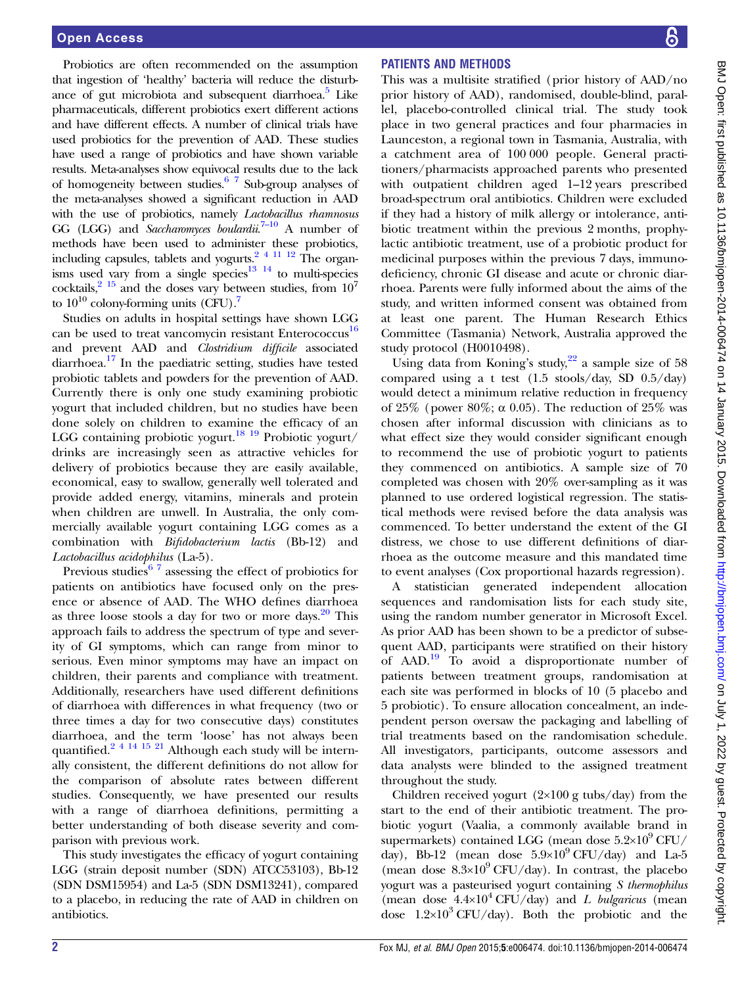Probiotics are often recommended on the assumption that ingestion of 'healthy' bacteria will reduce the disturb-ance of gut microbiota and subsequent diarrhoea.<sup>[5](#page-5-0)</sup> Like pharmaceuticals, different probiotics exert different actions and have different effects. A number of clinical trials have used probiotics for the prevention of AAD. These studies have used a range of probiotics and have shown variable results. Meta-analyses show equivocal results due to the lack of homogeneity between studies.[6 7](#page-5-0) Sub-group analyses of the meta-analyses showed a significant reduction in AAD with the use of probiotics, namely Lactobacillus rhamnosus GG (LGG) and Saccharomyces boulardii.<sup>7-[10](#page-5-0)</sup> A number of methods have been used to administer these probiotics, including capsules, tablets and yogurts.<sup>2</sup><sup>4 11</sup><sup>12</sup> The organ- $\frac{1}{2}$  isms used vary from a single species<sup>13</sup> <sup>14</sup> to multi-species cocktails,<sup>2</sup> <sup>15</sup> and the doses vary between studies, from  $10^7$ to  $10^{10}$  colony-forming units (CFU).<sup>7</sup>

Studies on adults in hospital settings have shown LGG can be used to treat vancomycin resistant Enterococcus<sup>[16](#page-5-0)</sup> and prevent AAD and Clostridium difficile associated diarrhoea.[17](#page-5-0) In the paediatric setting, studies have tested probiotic tablets and powders for the prevention of AAD. Currently there is only one study examining probiotic yogurt that included children, but no studies have been done solely on children to examine the efficacy of an LGG containing probiotic yogurt.<sup>[18 19](#page-5-0)</sup> Probiotic yogurt/ drinks are increasingly seen as attractive vehicles for delivery of probiotics because they are easily available, economical, easy to swallow, generally well tolerated and provide added energy, vitamins, minerals and protein when children are unwell. In Australia, the only commercially available yogurt containing LGG comes as a combination with Bifidobacterium lactis (Bb-12) and Lactobacillus acidophilus (La-5).

Previous studies  $6^{\frac{2}{3}}$  assessing the effect of probiotics for patients on antibiotics have focused only on the presence or absence of AAD. The WHO defines diarrhoea as three loose stools a day for two or more days. $20$  This approach fails to address the spectrum of type and severity of GI symptoms, which can range from minor to serious. Even minor symptoms may have an impact on children, their parents and compliance with treatment. Additionally, researchers have used different definitions of diarrhoea with differences in what frequency (two or three times a day for two consecutive days) constitutes diarrhoea, and the term 'loose' has not always been quantified.<sup>[2 4](#page-4-0) [14 15 21](#page-5-0)</sup> Although each study will be internally consistent, the different definitions do not allow for the comparison of absolute rates between different studies. Consequently, we have presented our results with a range of diarrhoea definitions, permitting a better understanding of both disease severity and comparison with previous work.

This study investigates the efficacy of yogurt containing LGG (strain deposit number (SDN) ATCC53103), Bb-12 (SDN DSM15954) and La-5 (SDN DSM13241), compared to a placebo, in reducing the rate of AAD in children on antibiotics.

# PATIENTS AND METHODS

This was a multisite stratified (prior history of AAD/no prior history of AAD), randomised, double-blind, parallel, placebo-controlled clinical trial. The study took place in two general practices and four pharmacies in Launceston, a regional town in Tasmania, Australia, with a catchment area of 100 000 people. General practitioners/pharmacists approached parents who presented with outpatient children aged 1–12 years prescribed broad-spectrum oral antibiotics. Children were excluded if they had a history of milk allergy or intolerance, antibiotic treatment within the previous 2 months, prophylactic antibiotic treatment, use of a probiotic product for medicinal purposes within the previous 7 days, immunodeficiency, chronic GI disease and acute or chronic diarrhoea. Parents were fully informed about the aims of the study, and written informed consent was obtained from at least one parent. The Human Research Ethics Committee (Tasmania) Network, Australia approved the study protocol (H0010498).

Using data from Koning's study, $22$  a sample size of 58 compared using a t test  $(1.5 \text{ stools/day}, SD \ 0.5/day)$ would detect a minimum relative reduction in frequency of 25% (power 80%;  $\alpha$  0.05). The reduction of 25% was chosen after informal discussion with clinicians as to what effect size they would consider significant enough to recommend the use of probiotic yogurt to patients they commenced on antibiotics. A sample size of 70 completed was chosen with 20% over-sampling as it was planned to use ordered logistical regression. The statistical methods were revised before the data analysis was commenced. To better understand the extent of the GI distress, we chose to use different definitions of diarrhoea as the outcome measure and this mandated time to event analyses (Cox proportional hazards regression).

A statistician generated independent allocation sequences and randomisation lists for each study site, using the random number generator in Microsoft Excel. As prior AAD has been shown to be a predictor of subsequent AAD, participants were stratified on their history of AAD.[19](#page-5-0) To avoid a disproportionate number of patients between treatment groups, randomisation at each site was performed in blocks of 10 (5 placebo and 5 probiotic). To ensure allocation concealment, an independent person oversaw the packaging and labelling of trial treatments based on the randomisation schedule. All investigators, participants, outcome assessors and data analysts were blinded to the assigned treatment throughout the study.

Children received yogurt  $(2\times100 \text{ g tubs/day})$  from the start to the end of their antibiotic treatment. The probiotic yogurt (Vaalia, a commonly available brand in supermarkets) contained LGG (mean dose  $5.2 \times 10^9$  CFU/ day), Bb-12 (mean dose  $5.9\times10^{9}$  CFU/day) and La-5 (mean dose  $8.3\times10^{9}$  CFU/day). In contrast, the placebo yogurt was a pasteurised yogurt containing S thermophilus (mean dose  $4.4 \times 10^4$  CFU/day) and *L bulgaricus* (mean dose  $1.2 \times 10^3$  CFU/day). Both the probiotic and the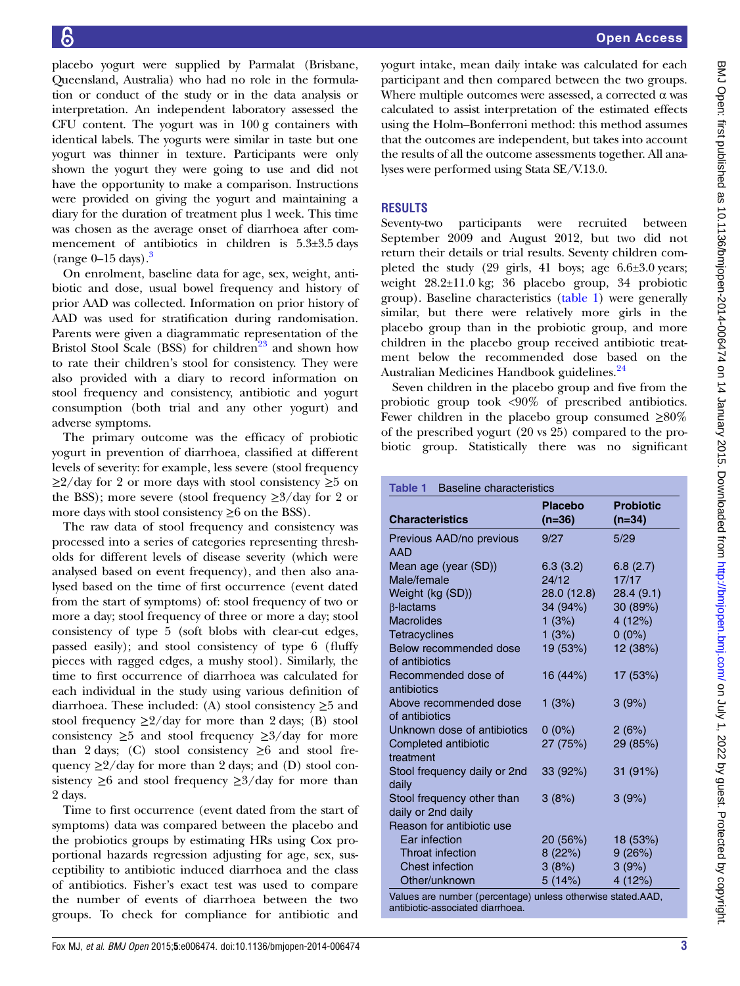placebo yogurt were supplied by Parmalat (Brisbane, Queensland, Australia) who had no role in the formulation or conduct of the study or in the data analysis or interpretation. An independent laboratory assessed the CFU content. The yogurt was in 100 g containers with identical labels. The yogurts were similar in taste but one yogurt was thinner in texture. Participants were only shown the yogurt they were going to use and did not have the opportunity to make a comparison. Instructions were provided on giving the yogurt and maintaining a diary for the duration of treatment plus 1 week. This time was chosen as the average onset of diarrhoea after commencement of antibiotics in children is 5.3±3.5 days (range  $0-15$  days).<sup>[3](#page-4-0)</sup>

On enrolment, baseline data for age, sex, weight, antibiotic and dose, usual bowel frequency and history of prior AAD was collected. Information on prior history of AAD was used for stratification during randomisation. Parents were given a diagrammatic representation of the Bristol Stool Scale (BSS) for children<sup>[23](#page-5-0)</sup> and shown how to rate their children's stool for consistency. They were also provided with a diary to record information on stool frequency and consistency, antibiotic and yogurt consumption (both trial and any other yogurt) and adverse symptoms.

The primary outcome was the efficacy of probiotic yogurt in prevention of diarrhoea, classified at different levels of severity: for example, less severe (stool frequency  $\geq$ 2/day for 2 or more days with stool consistency  $\geq$ 5 on the BSS); more severe (stool frequency  $\geq 3$ /day for 2 or more days with stool consistency ≥6 on the BSS).

The raw data of stool frequency and consistency was processed into a series of categories representing thresholds for different levels of disease severity (which were analysed based on event frequency), and then also analysed based on the time of first occurrence (event dated from the start of symptoms) of: stool frequency of two or more a day; stool frequency of three or more a day; stool consistency of type 5 (soft blobs with clear-cut edges, passed easily); and stool consistency of type 6 (fluffy pieces with ragged edges, a mushy stool). Similarly, the time to first occurrence of diarrhoea was calculated for each individual in the study using various definition of diarrhoea. These included: (A) stool consistency  $\geq 5$  and stool frequency  $\geq 2$ /day for more than 2 days; (B) stool consistency  $\geq 5$  and stool frequency  $\geq 3$ /day for more than 2 days; (C) stool consistency  $\geq 6$  and stool frequency  $\geq 2$ /day for more than 2 days; and (D) stool consistency  $\geq 6$  and stool frequency  $\geq 3$ /day for more than 2 days.

Time to first occurrence (event dated from the start of symptoms) data was compared between the placebo and the probiotics groups by estimating HRs using Cox proportional hazards regression adjusting for age, sex, susceptibility to antibiotic induced diarrhoea and the class of antibiotics. Fisher's exact test was used to compare the number of events of diarrhoea between the two groups. To check for compliance for antibiotic and yogurt intake, mean daily intake was calculated for each participant and then compared between the two groups. Where multiple outcomes were assessed, a corrected  $\alpha$  was calculated to assist interpretation of the estimated effects using the Holm–Bonferroni method: this method assumes that the outcomes are independent, but takes into account the results of all the outcome assessments together. All analyses were performed using Stata SE/V.13.0.

# RESULTS

Seventy-two participants were recruited between September 2009 and August 2012, but two did not return their details or trial results. Seventy children completed the study (29 girls, 41 boys; age 6.6±3.0 years; weight 28.2±11.0 kg; 36 placebo group, 34 probiotic group). Baseline characteristics (table 1) were generally similar, but there were relatively more girls in the placebo group than in the probiotic group, and more children in the placebo group received antibiotic treatment below the recommended dose based on the Australian Medicines Handbook guidelines.<sup>[24](#page-5-0)</sup>

Seven children in the placebo group and five from the probiotic group took <90% of prescribed antibiotics. Fewer children in the placebo group consumed  $\geq 80\%$ of the prescribed yogurt (20 vs 25) compared to the probiotic group. Statistically there was no significant

| <b>Baseline characteristics</b><br><b>Table 1</b>                             |                          |                              |  |
|-------------------------------------------------------------------------------|--------------------------|------------------------------|--|
| <b>Characteristics</b>                                                        | <b>Placebo</b><br>(n=36) | <b>Probiotic</b><br>$(n=34)$ |  |
| Previous AAD/no previous                                                      | 9/27                     | 5/29                         |  |
| <b>AAD</b>                                                                    |                          |                              |  |
| Mean age (year (SD))                                                          | 6.3(3.2)                 | 6.8(2.7)                     |  |
| Male/female                                                                   | 24/12                    | 17/17                        |  |
| Weight (kg (SD))                                                              | 28.0 (12.8)              | 28.4 (9.1)                   |  |
| $\beta$ -lactams                                                              | 34 (94%)                 | 30 (89%)                     |  |
| <b>Macrolides</b>                                                             | 1(3%)                    | 4 (12%)                      |  |
| <b>Tetracyclines</b>                                                          | 1(3%)                    | $0(0\%)$                     |  |
| Below recommended dose<br>of antibiotics                                      | 19 (53%)                 | 12 (38%)                     |  |
| Recommended dose of<br>antibiotics                                            | 16 (44%)                 | 17 (53%)                     |  |
| Above recommended dose<br>of antibiotics                                      | 1(3%)                    | 3(9%)                        |  |
| Unknown dose of antibiotics                                                   | $0(0\%)$                 | 2(6%)                        |  |
| Completed antibiotic<br>treatment                                             | 27 (75%)                 | 29 (85%)                     |  |
| Stool frequency daily or 2nd<br>daily                                         | 33 (92%)                 | 31 (91%)                     |  |
| Stool frequency other than<br>daily or 2nd daily<br>Reason for antibiotic use | 3(8%)                    | 3(9%)                        |  |
| Ear infection                                                                 |                          |                              |  |
| Throat infection                                                              | 20 (56%)                 | 18 (53%)                     |  |
| <b>Chest infection</b>                                                        | 8(22%)                   | 9(26%)                       |  |
|                                                                               | 3(8%)                    | 3(9%)                        |  |
| Other/unknown                                                                 | 5(14%)                   | 4 (12%)                      |  |
| Values are number (percentage) unless otherwise stated.AAD,                   |                          |                              |  |

antibiotic-associated diarrhoea.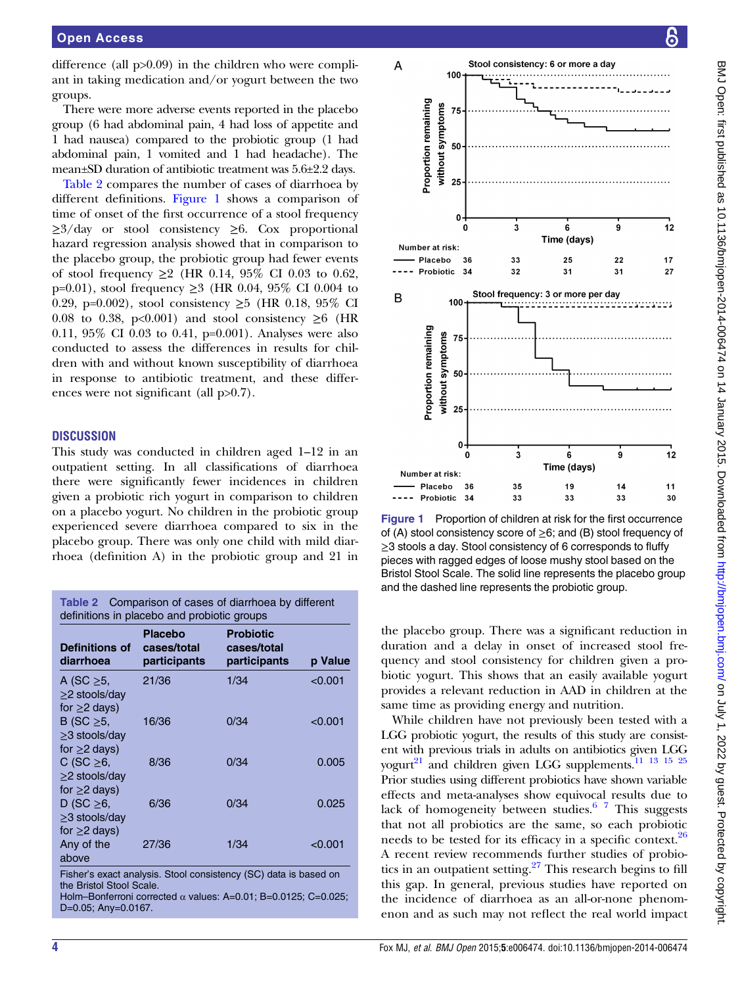difference (all p>0.09) in the children who were compliant in taking medication and/or yogurt between the two groups.

There were more adverse events reported in the placebo group (6 had abdominal pain, 4 had loss of appetite and 1 had nausea) compared to the probiotic group (1 had abdominal pain, 1 vomited and 1 had headache). The mean±SD duration of antibiotic treatment was 5.6±2.2 days.

Table 2 compares the number of cases of diarrhoea by different definitions. Figure 1 shows a comparison of time of onset of the first occurrence of a stool frequency  $\geq 3$ /day or stool consistency  $\geq 6$ . Cox proportional hazard regression analysis showed that in comparison to the placebo group, the probiotic group had fewer events of stool frequency ≥2 (HR 0.14, 95% CI 0.03 to 0.62, p=0.01), stool frequency ≥3 (HR 0.04, 95% CI 0.004 to 0.29, p=0.002), stool consistency  $\geq 5$  (HR 0.18, 95% CI 0.08 to 0.38, p<0.001) and stool consistency  $>6$  (HR 0.11, 95% CI 0.03 to 0.41, p=0.001). Analyses were also conducted to assess the differences in results for children with and without known susceptibility of diarrhoea in response to antibiotic treatment, and these differences were not significant (all p>0.7).

#### **DISCUSSION**

This study was conducted in children aged 1–12 in an outpatient setting. In all classifications of diarrhoea there were significantly fewer incidences in children given a probiotic rich yogurt in comparison to children on a placebo yogurt. No children in the probiotic group experienced severe diarrhoea compared to six in the placebo group. There was only one child with mild diarrhoea (definition A) in the probiotic group and 21 in

| <b>Table 2</b> Comparison of cases of diarrhoea by different<br>definitions in placebo and probiotic groups |                                               |                                                                                                       |         |  |
|-------------------------------------------------------------------------------------------------------------|-----------------------------------------------|-------------------------------------------------------------------------------------------------------|---------|--|
| Definitions of<br>diarrhoea                                                                                 | <b>Placebo</b><br>cases/total<br>participants | <b>Probiotic</b><br>cases/total<br>participants                                                       | p Value |  |
| A (SC $\geq$ 5,<br>>2 stools/day<br>for $\geq$ days)                                                        | 21/36                                         | 1/34                                                                                                  | < 0.001 |  |
| B (SC $\geq$ 5,<br>$>3$ stools/day<br>for $\geq$ days)                                                      | 16/36                                         | 0/34                                                                                                  | < 0.001 |  |
| C (SC $\geq$ 6,<br>>2 stools/day<br>for $\geq$ days)                                                        | 8/36                                          | 0/34                                                                                                  | 0.005   |  |
| D (SC $\geq$ 6.<br>$>3$ stools/day<br>for $\geq$ days)                                                      | 6/36                                          | 0/34                                                                                                  | 0.025   |  |
| Any of the<br>above                                                                                         | 27/36                                         | 1/34<br>$\Gamma$ iska da arrast amalusis. Otasl samaistanar: $(\Gamma \cap \Gamma)$ data is bassad am | < 0.001 |  |

isher's exact analysis. Stool consistency  $(SC)$ the Bristol Stool Scale.

Holm–Bonferroni corrected α values: A=0.01; B=0.0125; C=0.025; D=0.05; Any=0.0167.



Figure 1 Proportion of children at risk for the first occurrence of (A) stool consistency score of ≥6; and (B) stool frequency of ≥3 stools a day. Stool consistency of 6 corresponds to fluffy pieces with ragged edges of loose mushy stool based on the Bristol Stool Scale. The solid line represents the placebo group and the dashed line represents the probiotic group.

the placebo group. There was a significant reduction in duration and a delay in onset of increased stool frequency and stool consistency for children given a probiotic yogurt. This shows that an easily available yogurt provides a relevant reduction in AAD in children at the same time as providing energy and nutrition.

While children have not previously been tested with a LGG probiotic yogurt, the results of this study are consistent with previous trials in adults on antibiotics given LGG yogurt $^{21}$  and children given LGG supplements.<sup>11</sup> <sup>13</sup> <sup>15</sup> <sup>25</sup> Prior studies using different probiotics have shown variable effects and meta-analyses show equivocal results due to lack of homogeneity between studies. $67$  This suggests that not all probiotics are the same, so each probiotic needs to be tested for its efficacy in a specific context.<sup>[26](#page-5-0)</sup> A recent review recommends further studies of probiotics in an outpatient setting. $27$  This research begins to fill this gap. In general, previous studies have reported on the incidence of diarrhoea as an all-or-none phenomenon and as such may not reflect the real world impact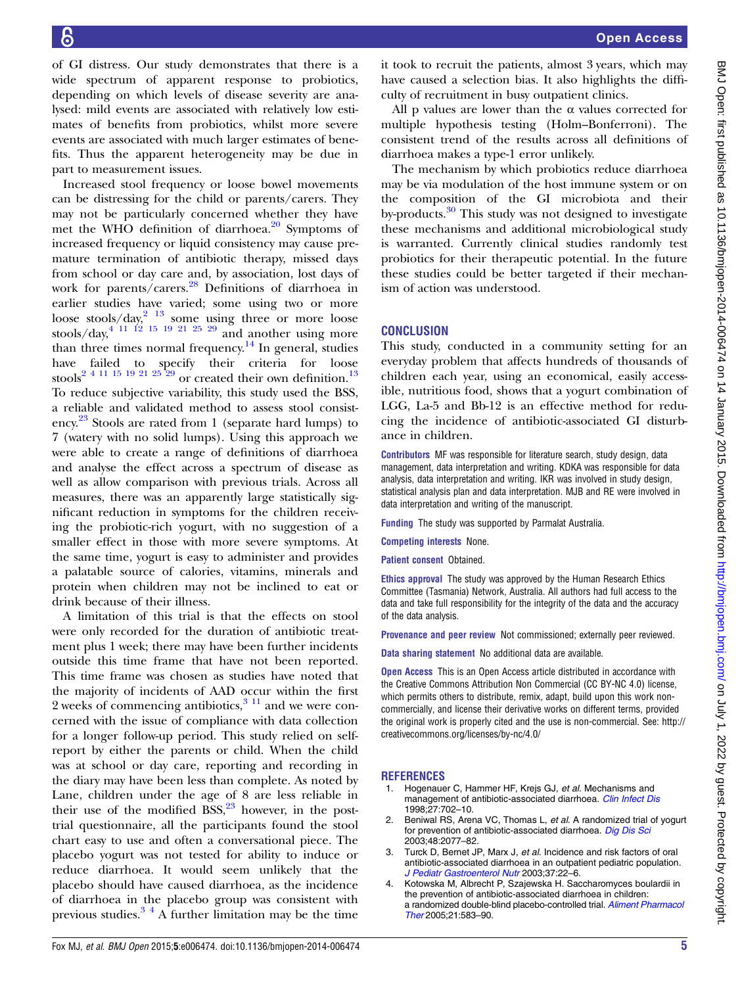Open Access

<span id="page-4-0"></span>of GI distress. Our study demonstrates that there is a wide spectrum of apparent response to probiotics, depending on which levels of disease severity are analysed: mild events are associated with relatively low estimates of benefits from probiotics, whilst more severe events are associated with much larger estimates of benefits. Thus the apparent heterogeneity may be due in part to measurement issues.

Increased stool frequency or loose bowel movements can be distressing for the child or parents/carers. They may not be particularly concerned whether they have met the WHO definition of diarrhoea.<sup>20</sup> Symptoms of increased frequency or liquid consistency may cause premature termination of antibiotic therapy, missed days from school or day care and, by association, lost days of work for parents/carers.<sup>[28](#page-5-0)</sup> Definitions of diarrhoea in earlier studies have varied; some using two or more loose stools/day, $2^{13}$  some using three or more loose stools/day,<sup>4 11 12</sup> <sup>15</sup> <sup>19</sup> <sup>21</sup> <sup>25</sup> <sup>29</sup> and another using more than three times normal frequency.<sup>14</sup> In general, studies have failed to specify their criteria for loose stools<sup>2 4 [11 15 19 21 25 29](#page-5-0)</sup> or created their own definition.<sup>[13](#page-5-0)</sup> To reduce subjective variability, this study used the BSS, a reliable and validated method to assess stool consist-ency.<sup>[23](#page-5-0)</sup> Stools are rated from 1 (separate hard lumps) to 7 (watery with no solid lumps). Using this approach we were able to create a range of definitions of diarrhoea and analyse the effect across a spectrum of disease as well as allow comparison with previous trials. Across all measures, there was an apparently large statistically significant reduction in symptoms for the children receiving the probiotic-rich yogurt, with no suggestion of a smaller effect in those with more severe symptoms. At the same time, yogurt is easy to administer and provides a palatable source of calories, vitamins, minerals and protein when children may not be inclined to eat or drink because of their illness.

A limitation of this trial is that the effects on stool were only recorded for the duration of antibiotic treatment plus 1 week; there may have been further incidents outside this time frame that have not been reported. This time frame was chosen as studies have noted that the majority of incidents of AAD occur within the first 2 weeks of commencing antibiotics,  $3 \frac{11}{11}$  and we were concerned with the issue of compliance with data collection for a longer follow-up period. This study relied on selfreport by either the parents or child. When the child was at school or day care, reporting and recording in the diary may have been less than complete. As noted by Lane, children under the age of 8 are less reliable in their use of the modified  $BSS$ ,<sup>[23](#page-5-0)</sup> however, in the posttrial questionnaire, all the participants found the stool chart easy to use and often a conversational piece. The placebo yogurt was not tested for ability to induce or reduce diarrhoea. It would seem unlikely that the placebo should have caused diarrhoea, as the incidence of diarrhoea in the placebo group was consistent with previous studies. $3^4$  A further limitation may be the time

it took to recruit the patients, almost 3 years, which may have caused a selection bias. It also highlights the difficulty of recruitment in busy outpatient clinics.

All p values are lower than the  $\alpha$  values corrected for multiple hypothesis testing (Holm–Bonferroni). The consistent trend of the results across all definitions of diarrhoea makes a type-1 error unlikely.

The mechanism by which probiotics reduce diarrhoea may be via modulation of the host immune system or on the composition of the GI microbiota and their by-products.<sup>30</sup> This study was not designed to investigate these mechanisms and additional microbiological study is warranted. Currently clinical studies randomly test probiotics for their therapeutic potential. In the future these studies could be better targeted if their mechanism of action was understood.

### **CONCLUSION**

This study, conducted in a community setting for an everyday problem that affects hundreds of thousands of children each year, using an economical, easily accessible, nutritious food, shows that a yogurt combination of LGG, La-5 and Bb-12 is an effective method for reducing the incidence of antibiotic-associated GI disturbance in children.

Contributors MF was responsible for literature search, study design, data management, data interpretation and writing. KDKA was responsible for data analysis, data interpretation and writing. IKR was involved in study design, statistical analysis plan and data interpretation. MJB and RE were involved in data interpretation and writing of the manuscript.

Funding The study was supported by Parmalat Australia.

Competing interests None.

Patient consent Obtained.

Ethics approval The study was approved by the Human Research Ethics Committee (Tasmania) Network, Australia. All authors had full access to the data and take full responsibility for the integrity of the data and the accuracy of the data analysis.

Provenance and peer review Not commissioned; externally peer reviewed.

Data sharing statement No additional data are available.

**Open Access** This is an Open Access article distributed in accordance with the Creative Commons Attribution Non Commercial (CC BY-NC 4.0) license, which permits others to distribute, remix, adapt, build upon this work noncommercially, and license their derivative works on different terms, provided the original work is properly cited and the use is non-commercial. See: [http://](http://creativecommons.org/licenses/by-nc/4.0/) [creativecommons.org/licenses/by-nc/4.0/](http://creativecommons.org/licenses/by-nc/4.0/)

#### **REFERENCES**

- Hogenauer C, Hammer HF, Krejs GJ, et al. Mechanisms and management of antibiotic-associated diarrhoea. [Clin Infect Dis](http://dx.doi.org/10.1086/514958) 1998;27:702–10.
- 2. Beniwal RS, Arena VC, Thomas L, et al. A randomized trial of yogurt for prevention of antibiotic-associated diarrhoea. [Dig Dis Sci](http://dx.doi.org/10.1023/A:1026155328638) 2003;48:2077–82.
- 3. Turck D, Bernet JP, Marx J, et al. Incidence and risk factors of oral antibiotic-associated diarrhoea in an outpatient pediatric population. [J Pediatr Gastroenterol Nutr](http://dx.doi.org/10.1097/00005176-200307000-00004) 2003;37:22–6.
- 4. Kotowska M, Albrecht P, Szajewska H. Saccharomyces boulardii in the prevention of antibiotic-associated diarrhoea in children: a randomized double-blind placebo-controlled trial. [Aliment Pharmacol](http://dx.doi.org/10.1111/j.1365-2036.2005.02356.x) [Ther](http://dx.doi.org/10.1111/j.1365-2036.2005.02356.x) 2005;21:583–90.